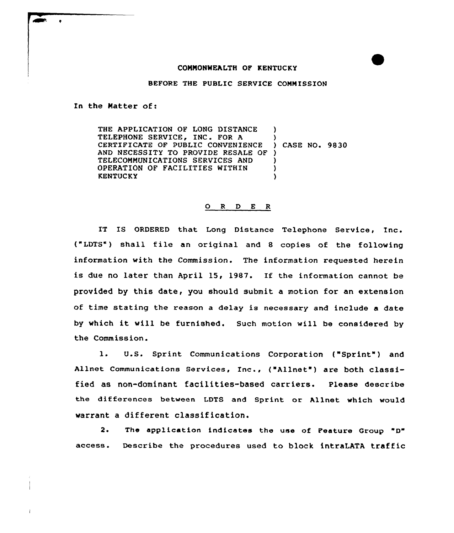## CONNONWEALTH OF KENTUCKY

BEFORE THE PUBLIC SERVICE COMMISSION

In the Natter of:

THE APPLICATION OF LONG DISTANCE ) TELEPHONE SERVICE, INC. FOR A CERTIFICATE OF PUBLIC CONVENIENCE ) CASE NO. 9830 AND NECESSITY TO PROVIDE RESALE OF ) TELECOMMUNICATIONS SERVICES AND ) OPERATION OF FACILITIES WITHIN **KENTUCKY** 

## 0 <sup>R</sup> <sup>D</sup> E <sup>R</sup>

IT IS ORDERED that Long Distance Telephone Service, Inc. ("LDTS") shall file an original and 8 copies of the following information with the Commission. The information requested herein is due no later than April 15, 1987. If the information cannot be provided by this date, you should submit a motion for an extension of time stating the reason a delay is necessary and include a date by which it vill be furnished. Such motion will be considered by the Commission.

l. U.S. Sprint Communications Corporation ("Sprint" ) and Allnet Communications Services, Inc., ("Allnet") are both classified as non-dominant facilities-based carriers. Please describe the differences between LDTS and Sprint or Allnet which would warrant a different classification.

 $2.$ access. The application indicates the use of Feature Group "D" Describe the procedures used to block intraLATA traffic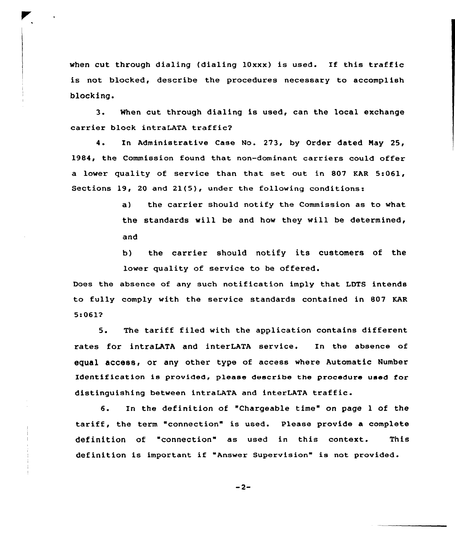when cut through dialing (dialing  $10xxx$ ) is used. If this traffic is not blocked, describe the procedures necessary to accomplish blocking.

3. When cut through dialing is used, can the local exchange carrier block intraLATA traffic2

4. In Administrative Case No. 273, by Order dated Nay 25, 1984, the Commission found that non-dominant carriers could offer a lower quality of service than that set out in 807 KAR 5:061, Sections 19, 20 and 21(5), under the following conditions:

> a) the carrier should notify the Commission as to what the standards will be and how they will be determined, and

> b) the carrier should notify its customers of the lower quality of service to be offered.

Does the absence of any such notification imply that LDTS intends to fully comply with the service standards contained in 807 KAR 5:061?

5. The tariff filed with the application contains different rates for intraLATA and interLATA service. In the absence of equal access, or any other type of access where Automatic Number Identification is provided, please describe the procedure used for distinguishing between intraLATA and interLATA traffic.

6. In the definition of "Chargeable time" on page <sup>1</sup> of the tariff, the term "connection" is used. Please provide <sup>a</sup> complete definition of "connection" as used in this context. This definition is important if "Answer Supervision" is not provided.

 $-2-$